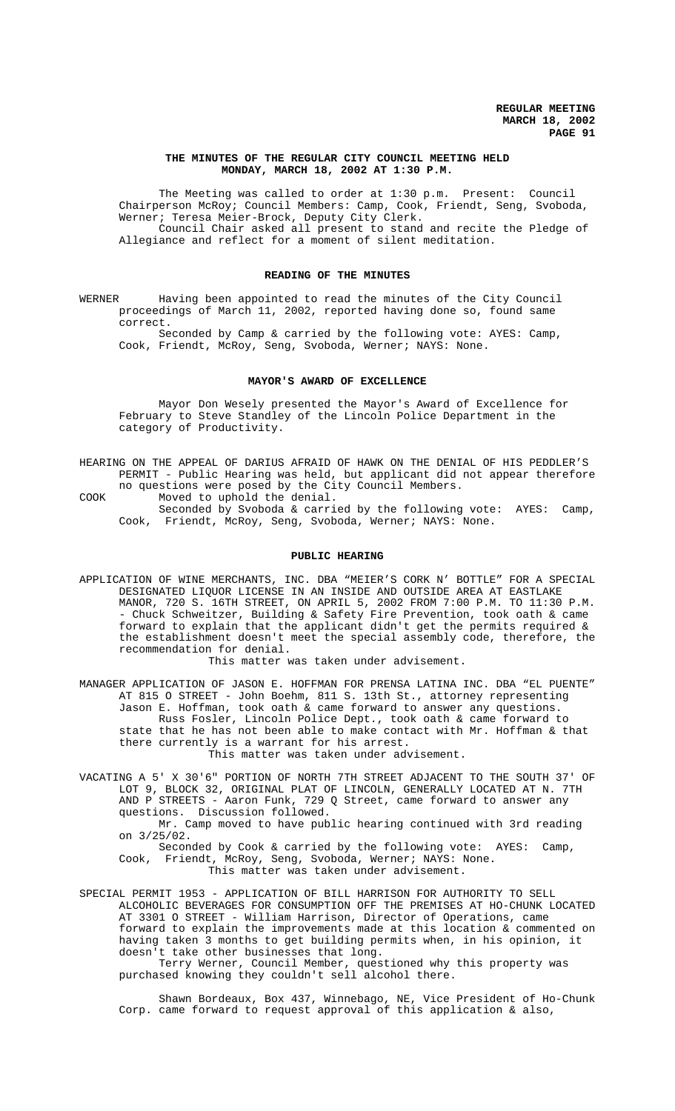### **THE MINUTES OF THE REGULAR CITY COUNCIL MEETING HELD MONDAY, MARCH 18, 2002 AT 1:30 P.M.**

The Meeting was called to order at 1:30 p.m. Present: Council Chairperson McRoy; Council Members: Camp, Cook, Friendt, Seng, Svoboda, Werner; Teresa Meier-Brock, Deputy City Clerk. Council Chair asked all present to stand and recite the Pledge of Allegiance and reflect for a moment of silent meditation.

#### **READING OF THE MINUTES**

WERNER Having been appointed to read the minutes of the City Council proceedings of March 11, 2002, reported having done so, found same correct.

Seconded by Camp & carried by the following vote: AYES: Camp, Cook, Friendt, McRoy, Seng, Svoboda, Werner; NAYS: None.

### **MAYOR'S AWARD OF EXCELLENCE**

Mayor Don Wesely presented the Mayor's Award of Excellence for February to Steve Standley of the Lincoln Police Department in the category of Productivity.

HEARING ON THE APPEAL OF DARIUS AFRAID OF HAWK ON THE DENIAL OF HIS PEDDLER'S PERMIT - Public Hearing was held, but applicant did not appear therefore no questions were posed by the City Council Members.

COOK Moved to uphold the denial. Seconded by Svoboda & carried by the following vote: AYES: Camp, Cook, Friendt, McRoy, Seng, Svoboda, Werner; NAYS: None.

#### **PUBLIC HEARING**

APPLICATION OF WINE MERCHANTS, INC. DBA "MEIER'S CORK N' BOTTLE" FOR A SPECIAL DESIGNATED LIQUOR LICENSE IN AN INSIDE AND OUTSIDE AREA AT EASTLAKE MANOR, 720 S. 16TH STREET, ON APRIL 5, 2002 FROM 7:00 P.M. TO 11:30 P.M. - Chuck Schweitzer, Building & Safety Fire Prevention, took oath & came forward to explain that the applicant didn't get the permits required & the establishment doesn't meet the special assembly code, therefore, the recommendation for denial.

This matter was taken under advisement.

MANAGER APPLICATION OF JASON E. HOFFMAN FOR PRENSA LATINA INC. DBA "EL PUENTE" AT 815 O STREET - John Boehm, 811 S. 13th St., attorney representing Jason E. Hoffman, took oath & came forward to answer any questions. Russ Fosler, Lincoln Police Dept., took oath & came forward to state that he has not been able to make contact with Mr. Hoffman & that there currently is a warrant for his arrest. This matter was taken under advisement.

VACATING A 5' X 30'6" PORTION OF NORTH 7TH STREET ADJACENT TO THE SOUTH 37' OF LOT 9, BLOCK 32, ORIGINAL PLAT OF LINCOLN, GENERALLY LOCATED AT N. 7TH AND P STREETS - Aaron Funk, 729 Q Street, came forward to answer any questions. Discussion followed.

Mr. Camp moved to have public hearing continued with 3rd reading on 3/25/02.

Seconded by Cook & carried by the following vote: AYES: Camp, Cook, Friendt, McRoy, Seng, Svoboda, Werner; NAYS: None. This matter was taken under advisement.

SPECIAL PERMIT 1953 - APPLICATION OF BILL HARRISON FOR AUTHORITY TO SELL ALCOHOLIC BEVERAGES FOR CONSUMPTION OFF THE PREMISES AT HO-CHUNK LOCATED AT 3301 O STREET - William Harrison, Director of Operations, came forward to explain the improvements made at this location & commented on having taken 3 months to get building permits when, in his opinion, it doesn't take other businesses that long.

Terry Werner, Council Member, questioned why this property was purchased knowing they couldn't sell alcohol there.

Shawn Bordeaux, Box 437, Winnebago, NE, Vice President of Ho-Chunk Corp. came forward to request approval of this application & also,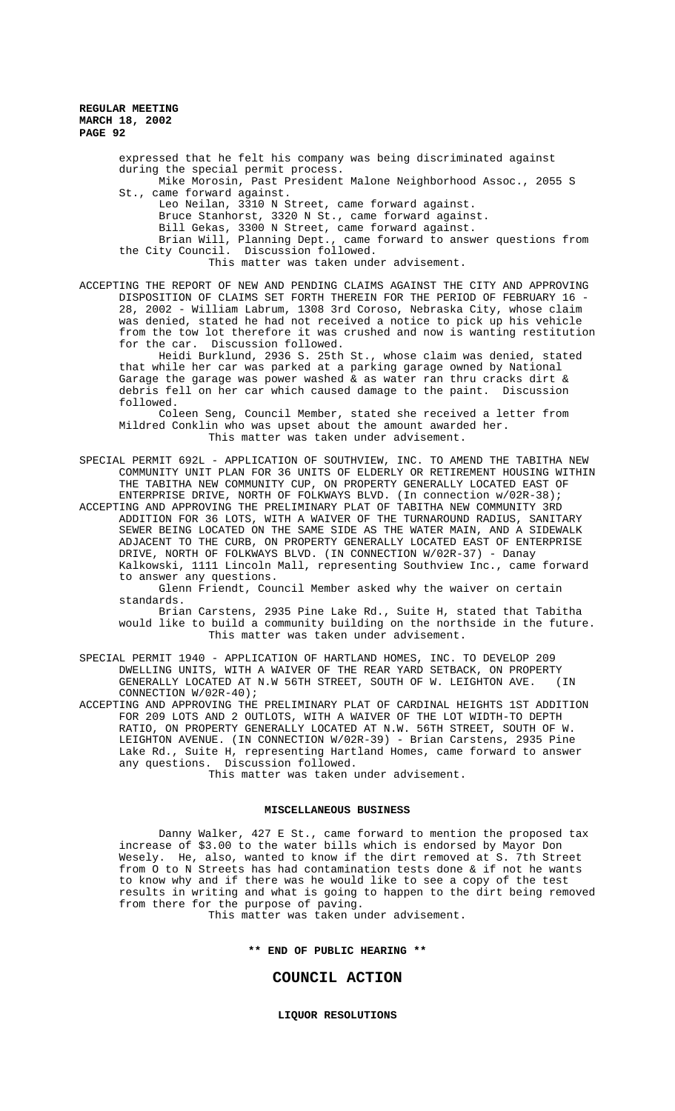expressed that he felt his company was being discriminated against during the special permit process. Mike Morosin, Past President Malone Neighborhood Assoc., 2055 S St., came forward against. Leo Neilan, 3310 N Street, came forward against. Bruce Stanhorst, 3320 N St., came forward against. Bill Gekas, 3300 N Street, came forward against. Brian Will, Planning Dept., came forward to answer questions from the City Council. Discussion followed. This matter was taken under advisement.

ACCEPTING THE REPORT OF NEW AND PENDING CLAIMS AGAINST THE CITY AND APPROVING DISPOSITION OF CLAIMS SET FORTH THEREIN FOR THE PERIOD OF FEBRUARY 16 - 28, 2002 - William Labrum, 1308 3rd Coroso, Nebraska City, whose claim was denied, stated he had not received a notice to pick up his vehicle from the tow lot therefore it was crushed and now is wanting restitution for the car. Discussion followed.

Heidi Burklund, 2936 S. 25th St., whose claim was denied, stated that while her car was parked at a parking garage owned by National Garage the garage was power washed & as water ran thru cracks dirt & debris fell on her car which caused damage to the paint. Discussion followed.

Coleen Seng, Council Member, stated she received a letter from Mildred Conklin who was upset about the amount awarded her. This matter was taken under advisement.

SPECIAL PERMIT 692L - APPLICATION OF SOUTHVIEW, INC. TO AMEND THE TABITHA NEW COMMUNITY UNIT PLAN FOR 36 UNITS OF ELDERLY OR RETIREMENT HOUSING WITHIN THE TABITHA NEW COMMUNITY CUP, ON PROPERTY GENERALLY LOCATED EAST OF ENTERPRISE DRIVE, NORTH OF FOLKWAYS BLVD. (In connection w/02R-38);

ACCEPTING AND APPROVING THE PRELIMINARY PLAT OF TABITHA NEW COMMUNITY 3RD ADDITION FOR 36 LOTS, WITH A WAIVER OF THE TURNAROUND RADIUS, SANITARY SEWER BEING LOCATED ON THE SAME SIDE AS THE WATER MAIN, AND A SIDEWALK ADJACENT TO THE CURB, ON PROPERTY GENERALLY LOCATED EAST OF ENTERPRISE DRIVE, NORTH OF FOLKWAYS BLVD. (IN CONNECTION W/02R-37) - Danay Kalkowski, 1111 Lincoln Mall, representing Southview Inc., came forward to answer any questions.

Glenn Friendt, Council Member asked why the waiver on certain standards.

Brian Carstens, 2935 Pine Lake Rd., Suite H, stated that Tabitha would like to build a community building on the northside in the future. This matter was taken under advisement.

SPECIAL PERMIT 1940 - APPLICATION OF HARTLAND HOMES, INC. TO DEVELOP 209 DWELLING UNITS, WITH A WAIVER OF THE REAR YARD SETBACK, ON PROPERTY GENERALLY LOCATED AT N.W 56TH STREET, SOUTH OF W. LEIGHTON AVE. (IN CONNECTION W/02R-40);

ACCEPTING AND APPROVING THE PRELIMINARY PLAT OF CARDINAL HEIGHTS 1ST ADDITION FOR 209 LOTS AND 2 OUTLOTS, WITH A WAIVER OF THE LOT WIDTH-TO DEPTH RATIO, ON PROPERTY GENERALLY LOCATED AT N.W. 56TH STREET, SOUTH OF W. LEIGHTON AVENUE. (IN CONNECTION W/02R-39) - Brian Carstens, 2935 Pine Lake Rd., Suite H, representing Hartland Homes, came forward to answer any questions. Discussion followed.

This matter was taken under advisement.

#### **MISCELLANEOUS BUSINESS**

Danny Walker, 427 E St., came forward to mention the proposed tax increase of \$3.00 to the water bills which is endorsed by Mayor Don Wesely. He, also, wanted to know if the dirt removed at S. 7th Street from O to N Streets has had contamination tests done & if not he wants to know why and if there was he would like to see a copy of the test results in writing and what is going to happen to the dirt being removed from there for the purpose of paving.

This matter was taken under advisement.

**\*\* END OF PUBLIC HEARING \*\***

# **COUNCIL ACTION**

**LIQUOR RESOLUTIONS**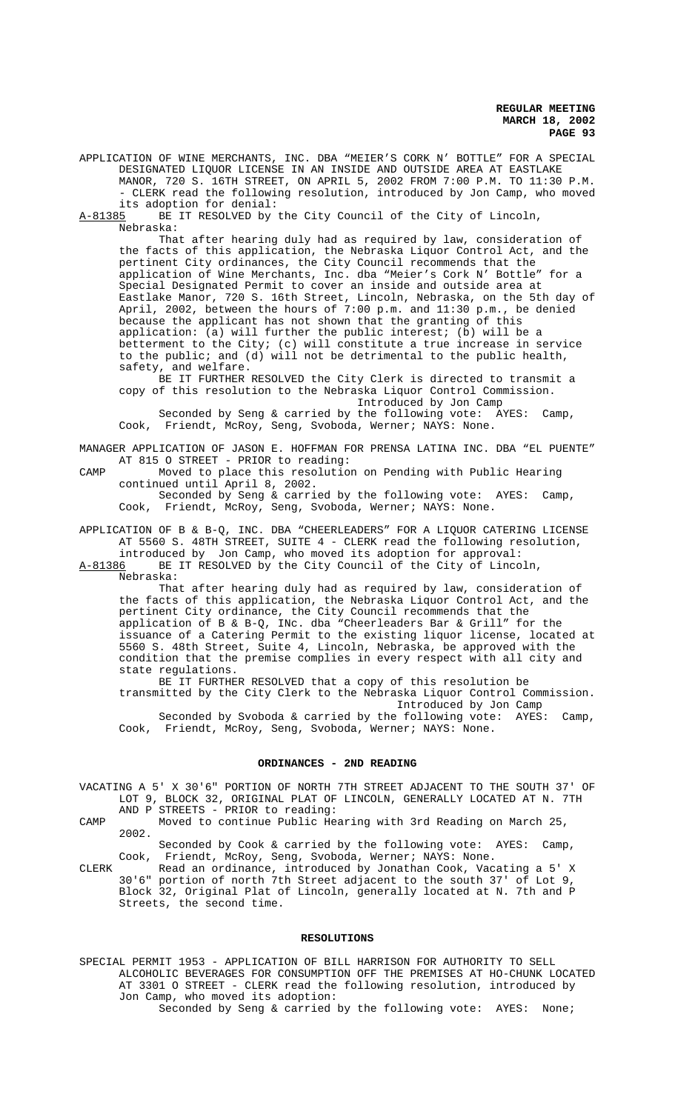APPLICATION OF WINE MERCHANTS, INC. DBA "MEIER'S CORK N' BOTTLE" FOR A SPECIAL DESIGNATED LIQUOR LICENSE IN AN INSIDE AND OUTSIDE AREA AT EASTLAKE MANOR, 720 S. 16TH STREET, ON APRIL 5, 2002 FROM 7:00 P.M. TO 11:30 P.M. - CLERK read the following resolution, introduced by Jon Camp, who moved its adoption for denial:

A-81385 BE IT RESOLVED by the City Council of the City of Lincoln, Nebraska:

That after hearing duly had as required by law, consideration of the facts of this application, the Nebraska Liquor Control Act, and the pertinent City ordinances, the City Council recommends that the application of Wine Merchants, Inc. dba "Meier's Cork N' Bottle" for a Special Designated Permit to cover an inside and outside area at Eastlake Manor, 720 S. 16th Street, Lincoln, Nebraska, on the 5th day of April, 2002, between the hours of 7:00 p.m. and 11:30 p.m., be denied because the applicant has not shown that the granting of this application: (a) will further the public interest; (b) will be a betterment to the City; (c) will constitute a true increase in service to the public; and  $(d)$  will not be detrimental to the public health, safety, and welfare.

BE IT FURTHER RESOLVED the City Clerk is directed to transmit a copy of this resolution to the Nebraska Liquor Control Commission. Introduced by Jon Camp

Seconded by Seng & carried by the following vote: AYES: Camp, Cook, Friendt, McRoy, Seng, Svoboda, Werner; NAYS: None.

MANAGER APPLICATION OF JASON E. HOFFMAN FOR PRENSA LATINA INC. DBA "EL PUENTE" AT 815 O STREET - PRIOR to reading:

CAMP Moved to place this resolution on Pending with Public Hearing continued until April 8, 2002.

Seconded by Seng & carried by the following vote: AYES: Camp, Cook, Friendt, McRoy, Seng, Svoboda, Werner; NAYS: None.

APPLICATION OF B & B-Q, INC. DBA "CHEERLEADERS" FOR A LIQUOR CATERING LICENSE AT 5560 S. 48TH STREET, SUITE 4 - CLERK read the following resolution,

introduced by Jon Camp, who moved its adoption for approval:<br>A-81386 BE IT RESOLVED by the City Council of the City of Linco BE IT RESOLVED by the City Council of the City of Lincoln,

Nebraska:

That after hearing duly had as required by law, consideration of the facts of this application, the Nebraska Liquor Control Act, and the pertinent City ordinance, the City Council recommends that the application of B & B-Q, INc. dba "Cheerleaders Bar & Grill" for the issuance of a Catering Permit to the existing liquor license, located at 5560 S. 48th Street, Suite 4, Lincoln, Nebraska, be approved with the condition that the premise complies in every respect with all city and state regulations.

BE IT FURTHER RESOLVED that a copy of this resolution be transmitted by the City Clerk to the Nebraska Liquor Control Commission. Introduced by Jon Camp Seconded by Svoboda & carried by the following vote: AYES: Camp, Cook, Friendt, McRoy, Seng, Svoboda, Werner; NAYS: None.

### **ORDINANCES - 2ND READING**

VACATING A 5' X 30'6" PORTION OF NORTH 7TH STREET ADJACENT TO THE SOUTH 37' OF LOT 9, BLOCK 32, ORIGINAL PLAT OF LINCOLN, GENERALLY LOCATED AT N. 7TH AND P STREETS - PRIOR to reading:

CAMP Moved to continue Public Hearing with 3rd Reading on March 25, 2002.

Seconded by Cook & carried by the following vote: AYES: Camp, Cook, Friendt, McRoy, Seng, Svoboda, Werner; NAYS: None.

CLERK Read an ordinance, introduced by Jonathan Cook, Vacating a 5' X 30'6" portion of north 7th Street adjacent to the south 37' of Lot 9, Block 32, Original Plat of Lincoln, generally located at N. 7th and P Streets, the second time.

#### **RESOLUTIONS**

SPECIAL PERMIT 1953 - APPLICATION OF BILL HARRISON FOR AUTHORITY TO SELL ALCOHOLIC BEVERAGES FOR CONSUMPTION OFF THE PREMISES AT HO-CHUNK LOCATED AT 3301 O STREET - CLERK read the following resolution, introduced by Jon Camp, who moved its adoption:

Seconded by Seng & carried by the following vote: AYES: None;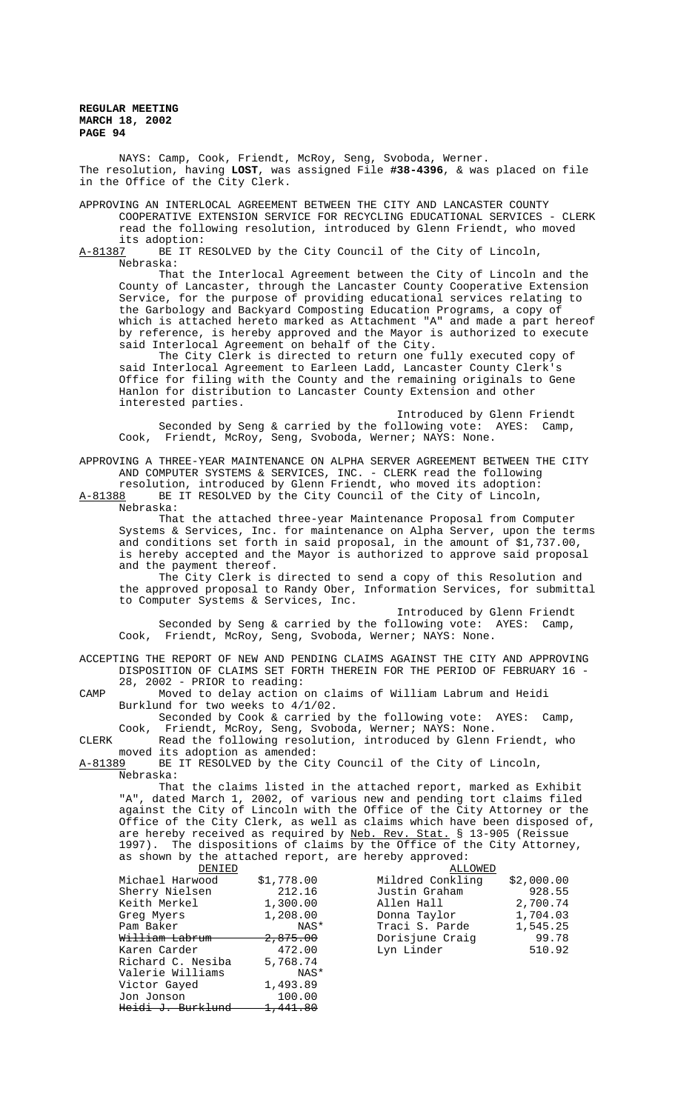NAYS: Camp, Cook, Friendt, McRoy, Seng, Svoboda, Werner. The resolution, having **LOST**, was assigned File **#38-4396**, & was placed on file in the Office of the City Clerk.

APPROVING AN INTERLOCAL AGREEMENT BETWEEN THE CITY AND LANCASTER COUNTY COOPERATIVE EXTENSION SERVICE FOR RECYCLING EDUCATIONAL SERVICES - CLERK read the following resolution, introduced by Glenn Friendt, who moved its adoption:

A-81387 BE IT RESOLVED by the City Council of the City of Lincoln, Nebraska:

That the Interlocal Agreement between the City of Lincoln and the County of Lancaster, through the Lancaster County Cooperative Extension Service, for the purpose of providing educational services relating to the Garbology and Backyard Composting Education Programs, a copy of which is attached hereto marked as Attachment "A" and made a part hereof by reference, is hereby approved and the Mayor is authorized to execute said Interlocal Agreement on behalf of the City.

The City Clerk is directed to return one fully executed copy of said Interlocal Agreement to Earleen Ladd, Lancaster County Clerk's Office for filing with the County and the remaining originals to Gene Hanlon for distribution to Lancaster County Extension and other interested parties.

Introduced by Glenn Friendt Seconded by Seng & carried by the following vote: AYES: Camp, Cook, Friendt, McRoy, Seng, Svoboda, Werner; NAYS: None.

APPROVING A THREE-YEAR MAINTENANCE ON ALPHA SERVER AGREEMENT BETWEEN THE CITY AND COMPUTER SYSTEMS & SERVICES, INC. - CLERK read the following

resolution, introduced by Glenn Friendt, who moved its adoption:<br>A-81388 BE IT RESOLVED by the City Council of the City of Lincoln, BE IT RESOLVED by the City Council of the City of Lincoln, Nebraska:

That the attached three-year Maintenance Proposal from Computer Systems & Services, Inc. for maintenance on Alpha Server, upon the terms and conditions set forth in said proposal, in the amount of \$1,737.00, is hereby accepted and the Mayor is authorized to approve said proposal and the payment thereof.

The City Clerk is directed to send a copy of this Resolution and the approved proposal to Randy Ober, Information Services, for submittal to Computer Systems & Services, Inc.

Introduced by Glenn Friendt Seconded by Seng & carried by the following vote: AYES: Camp, Cook, Friendt, McRoy, Seng, Svoboda, Werner; NAYS: None.

ACCEPTING THE REPORT OF NEW AND PENDING CLAIMS AGAINST THE CITY AND APPROVING DISPOSITION OF CLAIMS SET FORTH THEREIN FOR THE PERIOD OF FEBRUARY 16 - 28, 2002 - PRIOR to reading:

CAMP Moved to delay action on claims of William Labrum and Heidi Burklund for two weeks to 4/1/02.

Seconded by Cook & carried by the following vote: AYES: Camp, Cook, Friendt, McRoy, Seng, Svoboda, Werner; NAYS: None.

CLERK Read the following resolution, introduced by Glenn Friendt, who moved its adoption as amended:<br>A-81389 BE IT RESOLVED by the Ci

BE IT RESOLVED by the City Council of the City of Lincoln, Nebraska:

That the claims listed in the attached report, marked as Exhibit "A", dated March 1, 2002, of various new and pending tort claims filed against the City of Lincoln with the Office of the City Attorney or the Office of the City Clerk, as well as claims which have been disposed of, are hereby received as required by Neb. Rev. Stat. § 13-905 (Reissue 1997). The dispositions of claims by the Office of the City Attorney, as shown by the attached report, are hereby approved:

|                     | ALLOWED          |            |
|---------------------|------------------|------------|
| \$1,778.00          | Mildred Conkling | \$2,000.00 |
| 212.16              | Justin Graham    | 928.55     |
| 1,300.00            | Allen Hall       | 2,700.74   |
| 1,208.00            | Donna Taylor     | 1,704.03   |
| NAS*                | Traci S. Parde   | 1,545.25   |
| <del>2,875.00</del> | Dorisjune Craig  | 99.78      |
| 472.00              | Lyn Linder       | 510.92     |
| 5,768.74            |                  |            |
| NAS*                |                  |            |
| 1,493.89            |                  |            |
| 100.00              |                  |            |
| <del>1,441.80</del> |                  |            |
|                     |                  |            |

| 8999999          |            |
|------------------|------------|
| Mildred Conkling | \$2,000.00 |
| Justin Graham    | 928.55     |
| Allen Hall       | 2,700.74   |
| Donna Taylor     | 1,704.03   |
| Traci S. Parde   | 1,545.25   |
| Dorisjune Craiq  | 99.78      |
| Lyn Linder       | 510.92     |
|                  |            |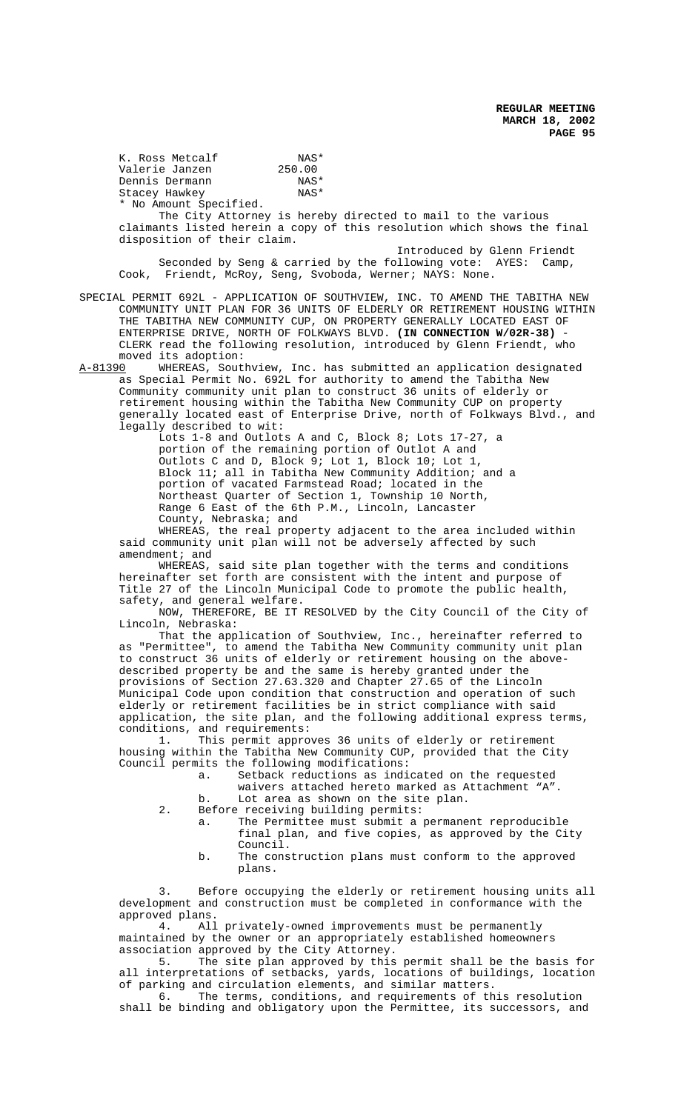K. Ross Metcalf (NAS\* NAS\* Valerie Janzen 250.00<br>Dennis Dermann 188\* Dennis Dermann NAS\*<br>Stacey Hawkey NAS\* Stacey Hawkey \* No Amount Specified.

The City Attorney is hereby directed to mail to the various claimants listed herein a copy of this resolution which shows the final disposition of their claim.

 Introduced by Glenn Friendt Seconded by Seng & carried by the following vote: AYES: Camp, Cook, Friendt, McRoy, Seng, Svoboda, Werner; NAYS: None.

SPECIAL PERMIT 692L - APPLICATION OF SOUTHVIEW, INC. TO AMEND THE TABITHA NEW COMMUNITY UNIT PLAN FOR 36 UNITS OF ELDERLY OR RETIREMENT HOUSING WITHIN THE TABITHA NEW COMMUNITY CUP, ON PROPERTY GENERALLY LOCATED EAST OF ENTERPRISE DRIVE, NORTH OF FOLKWAYS BLVD. **(IN CONNECTION W/02R-38)** - CLERK read the following resolution, introduced by Glenn Friendt, who moved its adoption:<br>A-81390 WHEREAS, Sout

WHEREAS, Southview, Inc. has submitted an application designated as Special Permit No. 692L for authority to amend the Tabitha New Community community unit plan to construct 36 units of elderly or retirement housing within the Tabitha New Community CUP on property generally located east of Enterprise Drive, north of Folkways Blvd., and legally described to wit:

> Lots 1-8 and Outlots A and C, Block 8; Lots 17-27, a portion of the remaining portion of Outlot A and Outlots C and D, Block 9; Lot 1, Block 10; Lot 1, Block 11; all in Tabitha New Community Addition; and a portion of vacated Farmstead Road; located in the Northeast Quarter of Section 1, Township 10 North, Range 6 East of the 6th P.M., Lincoln, Lancaster County, Nebraska; and

WHEREAS, the real property adjacent to the area included within said community unit plan will not be adversely affected by such amendment; and

WHEREAS, said site plan together with the terms and conditions hereinafter set forth are consistent with the intent and purpose of Title 27 of the Lincoln Municipal Code to promote the public health, safety, and general welfare.

NOW, THEREFORE, BE IT RESOLVED by the City Council of the City of Lincoln, Nebraska:

That the application of Southview, Inc., hereinafter referred to as "Permittee", to amend the Tabitha New Community community unit plan to construct 36 units of elderly or retirement housing on the abovedescribed property be and the same is hereby granted under the provisions of Section 27.63.320 and Chapter 27.65 of the Lincoln Municipal Code upon condition that construction and operation of such elderly or retirement facilities be in strict compliance with said application, the site plan, and the following additional express terms, conditions, and requirements:<br>1. This permit appro-

This permit approves 36 units of elderly or retirement housing within the Tabitha New Community CUP, provided that the City Council permits the following modifications:

- a. Setback reductions as indicated on the requested
	- waivers attached hereto marked as Attachment "A".
- b. Lot area as shown on the site plan.
- 2. Before receiving building permits:
	- a. The Permittee must submit a permanent reproducible final plan, and five copies, as approved by the City Council.
	- b. The construction plans must conform to the approved plans.

3. Before occupying the elderly or retirement housing units all development and construction must be completed in conformance with the approved plans.<br>4. All

All privately-owned improvements must be permanently maintained by the owner or an appropriately established homeowners association approved by the City Attorney.

5. The site plan approved by this permit shall be the basis for all interpretations of setbacks, yards, locations of buildings, location of parking and circulation elements, and similar matters.

6. The terms, conditions, and requirements of this resolution shall be binding and obligatory upon the Permittee, its successors, and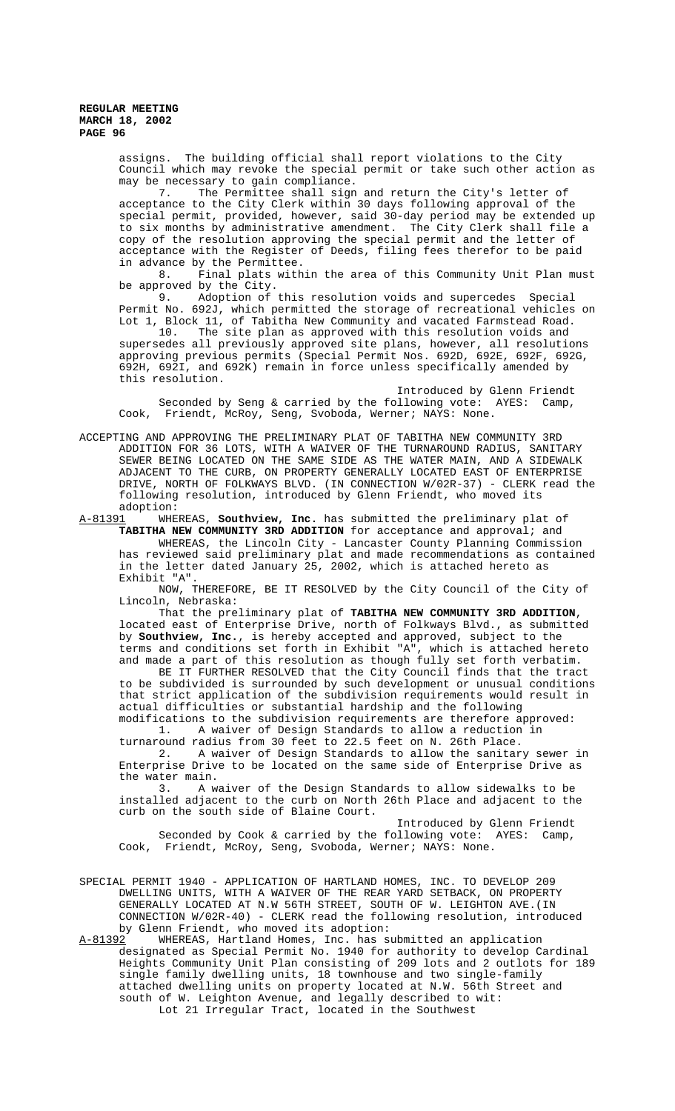> assigns. The building official shall report violations to the City Council which may revoke the special permit or take such other action as may be necessary to gain compliance.

> 7. The Permittee shall sign and return the City's letter of acceptance to the City Clerk within 30 days following approval of the special permit, provided, however, said 30-day period may be extended up to six months by administrative amendment. The City Clerk shall file a copy of the resolution approving the special permit and the letter of acceptance with the Register of Deeds, filing fees therefor to be paid

> in advance by the Permittee.<br>8. Final plats with Final plats within the area of this Community Unit Plan must be approved by the City.<br>9. Adoption of this resolution voids and supercedes Special

> 9. Adoption of this resolution voids and supercedes Special Permit No. 692J, which permitted the storage of recreational vehicles on Lot 1, Block 11, of Tabitha New Community and vacated Farmstead Road. 10. The site plan as approved with this resolution voids and

supersedes all previously approved site plans, however, all resolutions approving previous permits (Special Permit Nos. 692D, 692E, 692F, 692G, 692H, 692I, and 692K) remain in force unless specifically amended by this resolution.

Introduced by Glenn Friendt Seconded by Seng & carried by the following vote: AYES: Camp, Cook, Friendt, McRoy, Seng, Svoboda, Werner; NAYS: None.

ACCEPTING AND APPROVING THE PRELIMINARY PLAT OF TABITHA NEW COMMUNITY 3RD ADDITION FOR 36 LOTS, WITH A WAIVER OF THE TURNAROUND RADIUS, SANITARY SEWER BEING LOCATED ON THE SAME SIDE AS THE WATER MAIN, AND A SIDEWALK ADJACENT TO THE CURB, ON PROPERTY GENERALLY LOCATED EAST OF ENTERPRISE DRIVE, NORTH OF FOLKWAYS BLVD. (IN CONNECTION W/02R-37) - CLERK read the following resolution, introduced by Glenn Friendt, who moved its adoption:<br>A-81391 WHE

WHEREAS, **Southview, Inc.** has submitted the preliminary plat of **TABITHA NEW COMMUNITY 3RD ADDITION** for acceptance and approval; and WHEREAS, the Lincoln City - Lancaster County Planning Commission has reviewed said preliminary plat and made recommendations as contained in the letter dated January 25, 2002, which is attached hereto as Exhibit "A".

NOW, THEREFORE, BE IT RESOLVED by the City Council of the City of Lincoln, Nebraska:

That the preliminary plat of **TABITHA NEW COMMUNITY 3RD ADDITION**, located east of Enterprise Drive, north of Folkways Blvd., as submitted by **Southview, Inc.**, is hereby accepted and approved, subject to the terms and conditions set forth in Exhibit "A", which is attached hereto and made a part of this resolution as though fully set forth verbatim.

BE IT FURTHER RESOLVED that the City Council finds that the tract to be subdivided is surrounded by such development or unusual conditions that strict application of the subdivision requirements would result in actual difficulties or substantial hardship and the following modifications to the subdivision requirements are therefore approved:

1. A waiver of Design Standards to allow a reduction in turnaround radius from 30 feet to 22.5 feet on N. 26th Place.

2. A waiver of Design Standards to allow the sanitary sewer in Enterprise Drive to be located on the same side of Enterprise Drive as the water main.<br>3. A w

A waiver of the Design Standards to allow sidewalks to be installed adjacent to the curb on North 26th Place and adjacent to the curb on the south side of Blaine Court.

Introduced by Glenn Friendt Seconded by Cook & carried by the following vote: AYES: Camp, Cook, Friendt, McRoy, Seng, Svoboda, Werner; NAYS: None.

SPECIAL PERMIT 1940 - APPLICATION OF HARTLAND HOMES, INC. TO DEVELOP 209 DWELLING UNITS, WITH A WAIVER OF THE REAR YARD SETBACK, ON PROPERTY GENERALLY LOCATED AT N.W 56TH STREET, SOUTH OF W. LEIGHTON AVE.(IN CONNECTION W/02R-40) - CLERK read the following resolution, introduced by Glenn Friendt, who moved its adoption:

A-81392 WHEREAS, Hartland Homes, Inc. has submitted an application designated as Special Permit No. 1940 for authority to develop Cardinal Heights Community Unit Plan consisting of 209 lots and 2 outlots for 189 single family dwelling units, 18 townhouse and two single-family attached dwelling units on property located at N.W. 56th Street and south of W. Leighton Avenue, and legally described to wit: Lot 21 Irregular Tract, located in the Southwest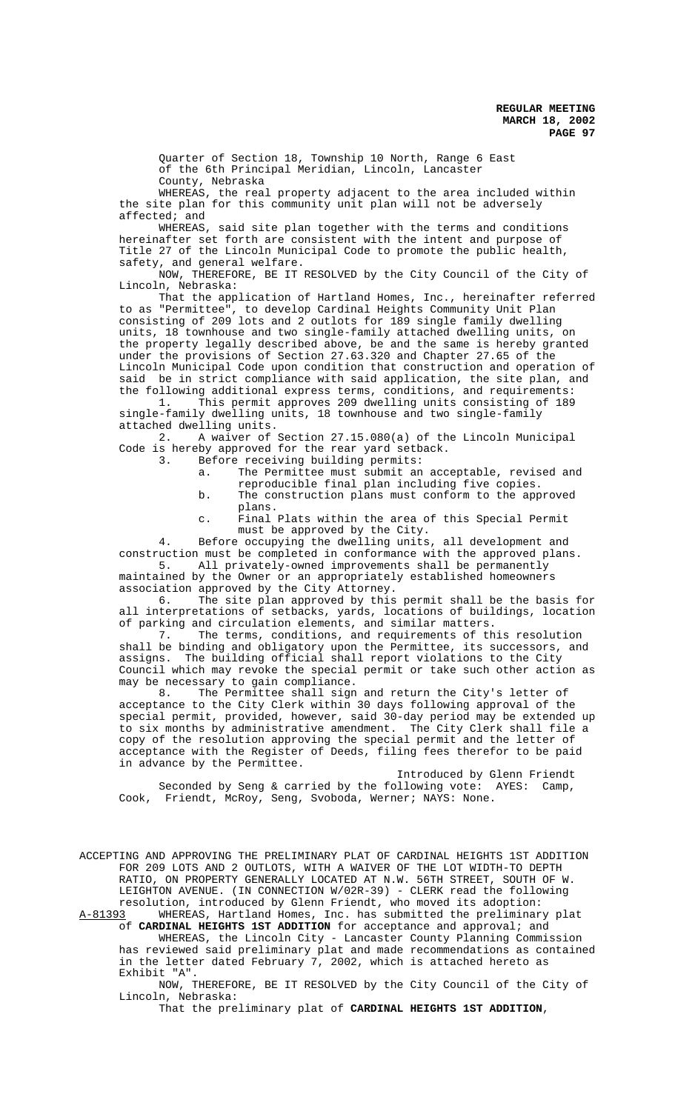Quarter of Section 18, Township 10 North, Range 6 East of the 6th Principal Meridian, Lincoln, Lancaster County, Nebraska

WHEREAS, the real property adjacent to the area included within the site plan for this community unit plan will not be adversely affected; and

WHEREAS, said site plan together with the terms and conditions hereinafter set forth are consistent with the intent and purpose of Title 27 of the Lincoln Municipal Code to promote the public health, safety, and general welfare.

NOW, THEREFORE, BE IT RESOLVED by the City Council of the City of Lincoln, Nebraska:

That the application of Hartland Homes, Inc., hereinafter referred to as "Permittee", to develop Cardinal Heights Community Unit Plan consisting of 209 lots and 2 outlots for 189 single family dwelling units, 18 townhouse and two single-family attached dwelling units, on the property legally described above, be and the same is hereby granted under the provisions of Section 27.63.320 and Chapter 27.65 of the Lincoln Municipal Code upon condition that construction and operation of said be in strict compliance with said application, the site plan, and

the following additional express terms, conditions, and requirements:<br>1. This permit approves 209 dwelling units consisting of 189 This permit approves 209 dwelling units consisting of 189 single-family dwelling units, 18 townhouse and two single-family

attached dwelling units.<br>2. A waiver of : 2. A waiver of Section 27.15.080(a) of the Lincoln Municipal Code is hereby approved for the rear yard setback.

- 3. Before receiving building permits:
	- a. The Permittee must submit an acceptable, revised and reproducible final plan including five copies.
	- b. The construction plans must conform to the approved plans.
	- c. Final Plats within the area of this Special Permit must be approved by the City.

4. Before occupying the dwelling units, all development and construction must be completed in conformance with the approved plans.<br>5. All privately-owned improvements shall be permanently

All privately-owned improvements shall be permanently maintained by the Owner or an appropriately established homeowners association approved by the City Attorney.

6. The site plan approved by this permit shall be the basis for all interpretations of setbacks, yards, locations of buildings, location of parking and circulation elements, and similar matters.

7. The terms, conditions, and requirements of this resolution shall be binding and obligatory upon the Permittee, its successors, and assigns. The building official shall report violations to the City Council which may revoke the special permit or take such other action as may be necessary to gain compliance.<br>8. The Permittee shall sign

The Permittee shall sign and return the City's letter of acceptance to the City Clerk within 30 days following approval of the special permit, provided, however, said 30-day period may be extended up to six months by administrative amendment. The City Clerk shall file a copy of the resolution approving the special permit and the letter of acceptance with the Register of Deeds, filing fees therefor to be paid in advance by the Permittee.

Introduced by Glenn Friendt Seconded by Seng & carried by the following vote: AYES: Camp, Cook, Friendt, McRoy, Seng, Svoboda, Werner; NAYS: None.

ACCEPTING AND APPROVING THE PRELIMINARY PLAT OF CARDINAL HEIGHTS 1ST ADDITION FOR 209 LOTS AND 2 OUTLOTS, WITH A WAIVER OF THE LOT WIDTH-TO DEPTH RATIO, ON PROPERTY GENERALLY LOCATED AT N.W. 56TH STREET, SOUTH OF W. LEIGHTON AVENUE. (IN CONNECTION W/02R-39) - CLERK read the following

resolution, introduced by Glenn Friendt, who moved its adoption:<br>A-81393 WHEREAS, Hartland Homes, Inc. has submitted the preliminar WHEREAS, Hartland Homes, Inc. has submitted the preliminary plat of **CARDINAL HEIGHTS 1ST ADDITION** for acceptance and approval; and WHEREAS, the Lincoln City - Lancaster County Planning Commission has reviewed said preliminary plat and made recommendations as contained in the letter dated February 7, 2002, which is attached hereto as Exhibit "A".

NOW, THEREFORE, BE IT RESOLVED by the City Council of the City of Lincoln, Nebraska:

That the preliminary plat of **CARDINAL HEIGHTS 1ST ADDITION**,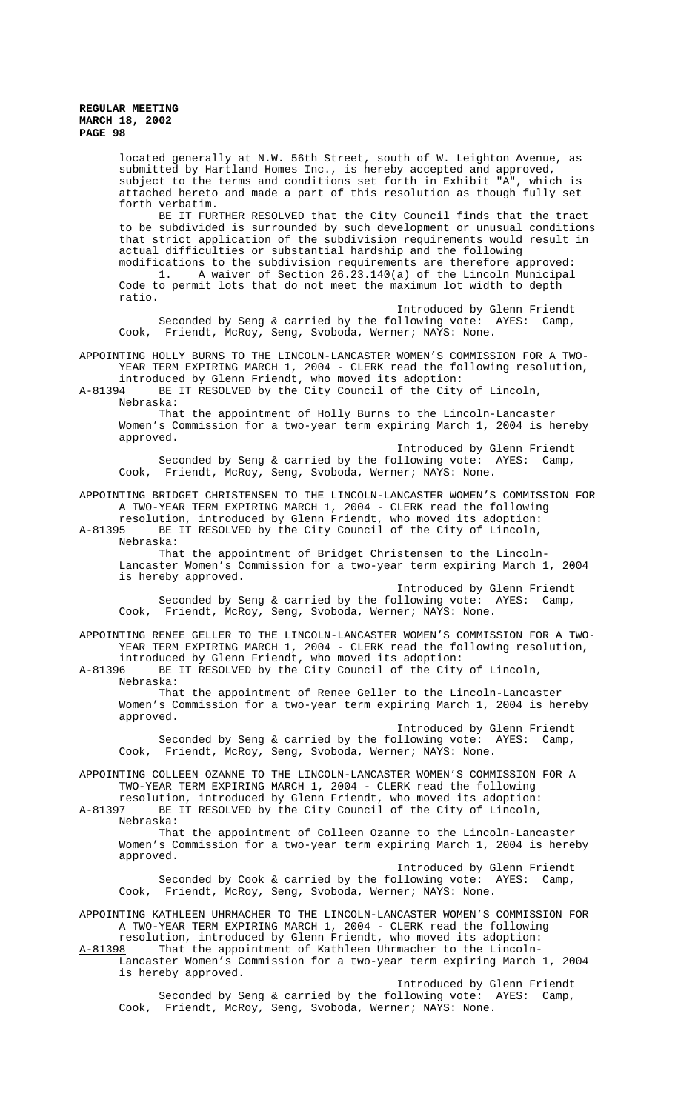located generally at N.W. 56th Street, south of W. Leighton Avenue, as submitted by Hartland Homes Inc., is hereby accepted and approved, subject to the terms and conditions set forth in Exhibit "A", which is attached hereto and made a part of this resolution as though fully set forth verbatim.

BE IT FURTHER RESOLVED that the City Council finds that the tract to be subdivided is surrounded by such development or unusual conditions that strict application of the subdivision requirements would result in actual difficulties or substantial hardship and the following modifications to the subdivision requirements are therefore approved: 1. A waiver of Section 26.23.140(a) of the Lincoln Municipal Code to permit lots that do not meet the maximum lot width to depth ratio.

Introduced by Glenn Friendt Seconded by Seng & carried by the following vote: AYES: Camp, Cook, Friendt, McRoy, Seng, Svoboda, Werner; NAYS: None.

APPOINTING HOLLY BURNS TO THE LINCOLN-LANCASTER WOMEN'S COMMISSION FOR A TWO-YEAR TERM EXPIRING MARCH 1, 2004 - CLERK read the following resolution, introduced by Glenn Friendt, who moved its adoption:

A-81394 BE IT RESOLVED by the City Council of the City of Lincoln, Nebraska:

That the appointment of Holly Burns to the Lincoln-Lancaster Women's Commission for a two-year term expiring March 1, 2004 is hereby approved.

Introduced by Glenn Friendt Seconded by Seng & carried by the following vote: AYES: Camp, Cook, Friendt, McRoy, Seng, Svoboda, Werner; NAYS: None.

APPOINTING BRIDGET CHRISTENSEN TO THE LINCOLN-LANCASTER WOMEN'S COMMISSION FOR A TWO-YEAR TERM EXPIRING MARCH 1, 2004 - CLERK read the following resolution, introduced by Glenn Friendt, who moved its adoption: A-81395 BE IT RESOLVED by the City Council of the City of Lincoln,

Nebraska: That the appointment of Bridget Christensen to the Lincoln-Lancaster Women's Commission for a two-year term expiring March 1, 2004 is hereby approved.

Introduced by Glenn Friendt Seconded by Seng & carried by the following vote: AYES: Camp, Cook, Friendt, McRoy, Seng, Svoboda, Werner; NAYS: None.

APPOINTING RENEE GELLER TO THE LINCOLN-LANCASTER WOMEN'S COMMISSION FOR A TWO-YEAR TERM EXPIRING MARCH 1, 2004 - CLERK read the following resolution, introduced by Glenn Friendt, who moved its adoption: A-81396 BE IT RESOLVED by the City Council of the City of Lincoln,

Nebraska: That the appointment of Renee Geller to the Lincoln-Lancaster

Women's Commission for a two-year term expiring March 1, 2004 is hereby approved.

Introduced by Glenn Friendt Seconded by Seng & carried by the following vote: AYES: Camp, Cook, Friendt, McRoy, Seng, Svoboda, Werner; NAYS: None.

APPOINTING COLLEEN OZANNE TO THE LINCOLN-LANCASTER WOMEN'S COMMISSION FOR A TWO-YEAR TERM EXPIRING MARCH 1, 2004 - CLERK read the following resolution, introduced by Glenn Friendt, who moved its adoption:

A-81397 BE IT RESOLVED by the City Council of the City of Lincoln, Nebraska:

That the appointment of Colleen Ozanne to the Lincoln-Lancaster Women's Commission for a two-year term expiring March 1, 2004 is hereby approved.

Introduced by Glenn Friendt Seconded by Cook & carried by the following vote: AYES: Camp, Cook, Friendt, McRoy, Seng, Svoboda, Werner; NAYS: None.

APPOINTING KATHLEEN UHRMACHER TO THE LINCOLN-LANCASTER WOMEN'S COMMISSION FOR A TWO-YEAR TERM EXPIRING MARCH 1, 2004 - CLERK read the following resolution, introduced by Glenn Friendt, who moved its adoption: A-81398 That the appointment of Kathleen Uhrmacher to the Lincoln-

Lancaster Women's Commission for a two-year term expiring March 1, 2004 is hereby approved. Introduced by Glenn Friendt

Seconded by Seng & carried by the following vote: AYES: Camp, Cook, Friendt, McRoy, Seng, Svoboda, Werner; NAYS: None.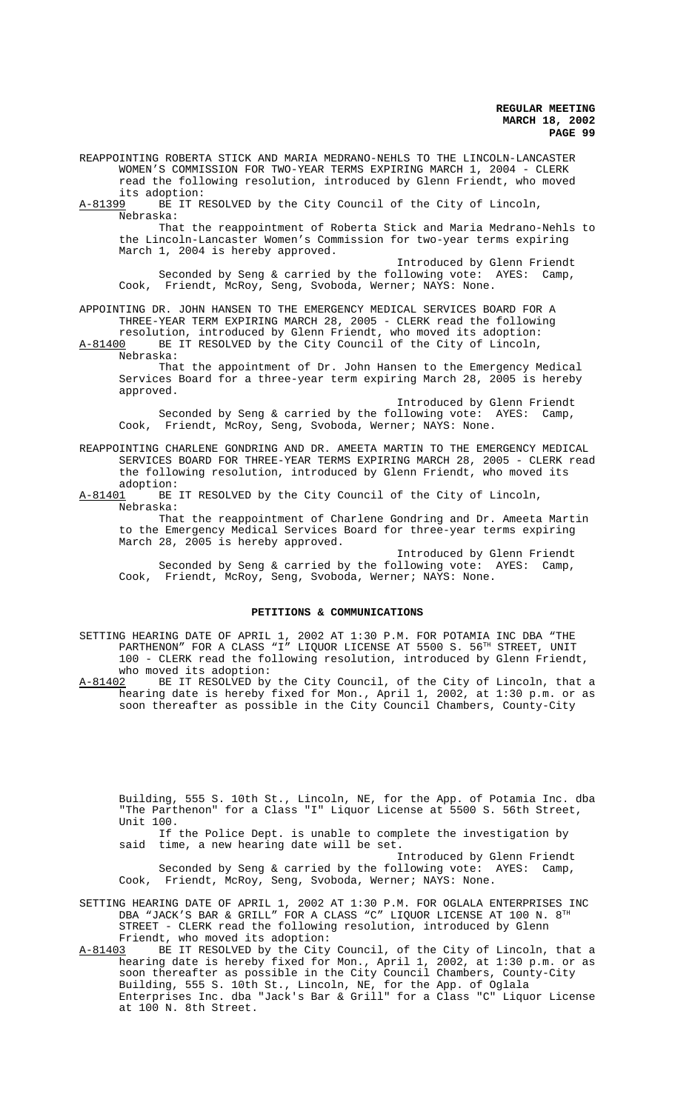REAPPOINTING ROBERTA STICK AND MARIA MEDRANO-NEHLS TO THE LINCOLN-LANCASTER WOMEN'S COMMISSION FOR TWO-YEAR TERMS EXPIRING MARCH 1, 2004 - CLERK read the following resolution, introduced by Glenn Friendt, who moved

its adoption:<br><u>A-81399</u> BE IT R BE IT RESOLVED by the City Council of the City of Lincoln, Nebraska:

That the reappointment of Roberta Stick and Maria Medrano-Nehls to the Lincoln-Lancaster Women's Commission for two-year terms expiring March 1, 2004 is hereby approved.

Introduced by Glenn Friendt Seconded by Seng & carried by the following vote: AYES: Camp, Cook, Friendt, McRoy, Seng, Svoboda, Werner; NAYS: None.

APPOINTING DR. JOHN HANSEN TO THE EMERGENCY MEDICAL SERVICES BOARD FOR A THREE-YEAR TERM EXPIRING MARCH 28, 2005 - CLERK read the following resolution, introduced by Glenn Friendt, who moved its adoption: A-81400 BE IT RESOLVED by the City Council of the City of Lincoln,

Nebraska: That the appointment of Dr. John Hansen to the Emergency Medical Services Board for a three-year term expiring March 28, 2005 is hereby

approved. Introduced by Glenn Friendt Seconded by Seng & carried by the following vote: AYES: Camp, Cook, Friendt, McRoy, Seng, Svoboda, Werner; NAYS: None.

REAPPOINTING CHARLENE GONDRING AND DR. AMEETA MARTIN TO THE EMERGENCY MEDICAL SERVICES BOARD FOR THREE-YEAR TERMS EXPIRING MARCH 28, 2005 - CLERK read the following resolution, introduced by Glenn Friendt, who moved its adoption:

A-81401 BE IT RESOLVED by the City Council of the City of Lincoln, Nebraska:

That the reappointment of Charlene Gondring and Dr. Ameeta Martin to the Emergency Medical Services Board for three-year terms expiring March 28, 2005 is hereby approved.

Introduced by Glenn Friendt Seconded by Seng & carried by the following vote: AYES: Camp, Cook, Friendt, McRoy, Seng, Svoboda, Werner; NAYS: None.

## **PETITIONS & COMMUNICATIONS**

SETTING HEARING DATE OF APRIL 1, 2002 AT 1:30 P.M. FOR POTAMIA INC DBA "THE PARTHENON" FOR A CLASS "I" LIQUOR LICENSE AT 5500 S. 56TH STREET, UNIT 100 - CLERK read the following resolution, introduced by Glenn Friendt, who moved its adoption:

A-81402 BE IT RESOLVED by the City Council, of the City of Lincoln, that a hearing date is hereby fixed for Mon., April 1, 2002, at 1:30 p.m. or as soon thereafter as possible in the City Council Chambers, County-City

Building, 555 S. 10th St., Lincoln, NE, for the App. of Potamia Inc. dba "The Parthenon" for a Class "I" Liquor License at 5500 S. 56th Street, Unit 100.

If the Police Dept. is unable to complete the investigation by said time, a new hearing date will be set.

Introduced by Glenn Friendt Seconded by Seng & carried by the following vote: AYES: Camp, Cook, Friendt, McRoy, Seng, Svoboda, Werner; NAYS: None.

SETTING HEARING DATE OF APRIL 1, 2002 AT 1:30 P.M. FOR OGLALA ENTERPRISES INC DBA "JACK'S BAR & GRILL" FOR A CLASS "C" LIQUOR LICENSE AT 100 N. 8TH STREET - CLERK read the following resolution, introduced by Glenn Friendt, who moved its adoption:<br>A-81403 BE IT RESOLVED by the City

A-81403 BE IT RESOLVED by the City Council, of the City of Lincoln, that a hearing date is hereby fixed for Mon., April 1, 2002, at 1:30 p.m. or as soon thereafter as possible in the City Council Chambers, County-City Building, 555 S. 10th St., Lincoln, NE, for the App. of Oglala Enterprises Inc. dba "Jack's Bar & Grill" for a Class "C" Liquor License at 100 N. 8th Street.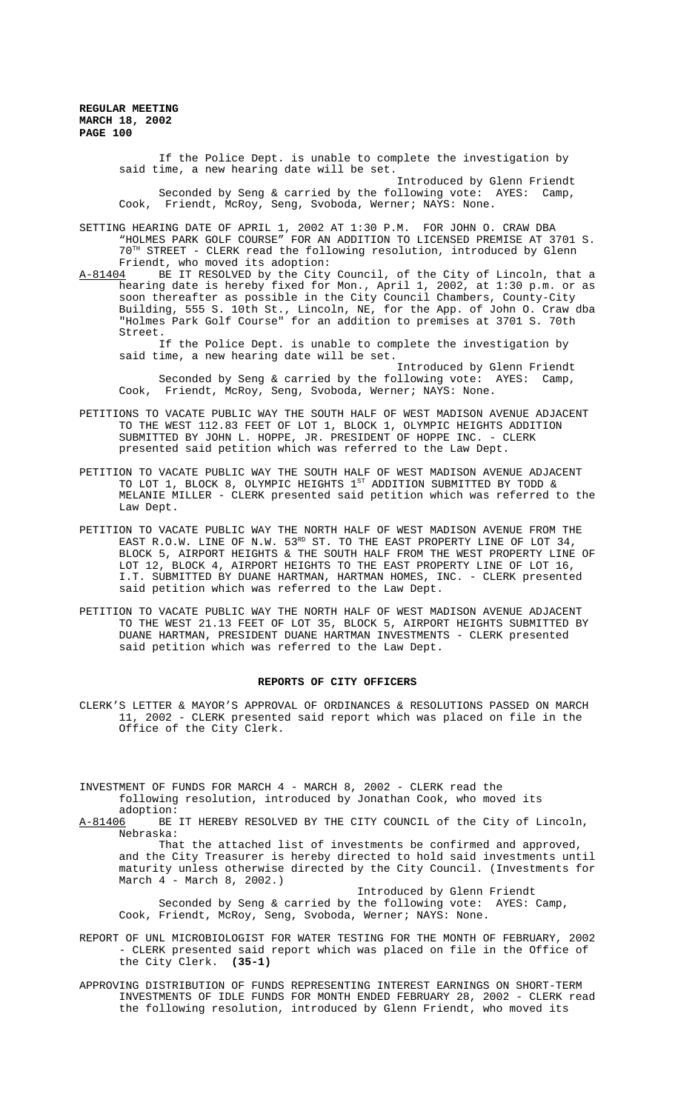> If the Police Dept. is unable to complete the investigation by said time, a new hearing date will be set. Introduced by Glenn Friendt Seconded by Seng & carried by the following vote: AYES: Camp, Cook, Friendt, McRoy, Seng, Svoboda, Werner; NAYS: None.

SETTING HEARING DATE OF APRIL 1, 2002 AT 1:30 P.M. FOR JOHN O. CRAW DBA "HOLMES PARK GOLF COURSE" FOR AN ADDITION TO LICENSED PREMISE AT 3701 S. 70TH STREET - CLERK read the following resolution, introduced by Glenn Friendt, who moved its adoption:<br>A-81404 BE IT RESOLVED by the City

A-81404 BE IT RESOLVED by the City Council, of the City of Lincoln, that a hearing date is hereby fixed for Mon., April 1, 2002, at 1:30 p.m. or as soon thereafter as possible in the City Council Chambers, County-City Building, 555 S. 10th St., Lincoln, NE, for the App. of John O. Craw dba "Holmes Park Golf Course" for an addition to premises at 3701 S. 70th Street.

If the Police Dept. is unable to complete the investigation by said time, a new hearing date will be set.

Introduced by Glenn Friendt Seconded by Seng & carried by the following vote: AYES: Camp, Cook, Friendt, McRoy, Seng, Svoboda, Werner; NAYS: None.

- PETITIONS TO VACATE PUBLIC WAY THE SOUTH HALF OF WEST MADISON AVENUE ADJACENT TO THE WEST 112.83 FEET OF LOT 1, BLOCK 1, OLYMPIC HEIGHTS ADDITION SUBMITTED BY JOHN L. HOPPE, JR. PRESIDENT OF HOPPE INC. - CLERK presented said petition which was referred to the Law Dept.
- PETITION TO VACATE PUBLIC WAY THE SOUTH HALF OF WEST MADISON AVENUE ADJACENT TO LOT 1, BLOCK 8, OLYMPIC HEIGHTS  $1^{ST}$  ADDITION SUBMITTED BY TODD & MELANIE MILLER - CLERK presented said petition which was referred to the Law Dept.
- PETITION TO VACATE PUBLIC WAY THE NORTH HALF OF WEST MADISON AVENUE FROM THE EAST R.O.W. LINE OF N.W.  $53^{RD}$  ST. TO THE EAST PROPERTY LINE OF LOT 34, BLOCK 5, AIRPORT HEIGHTS & THE SOUTH HALF FROM THE WEST PROPERTY LINE OF LOT 12, BLOCK 4, AIRPORT HEIGHTS TO THE EAST PROPERTY LINE OF LOT 16, I.T. SUBMITTED BY DUANE HARTMAN, HARTMAN HOMES, INC. - CLERK presented said petition which was referred to the Law Dept.
- PETITION TO VACATE PUBLIC WAY THE NORTH HALF OF WEST MADISON AVENUE ADJACENT TO THE WEST 21.13 FEET OF LOT 35, BLOCK 5, AIRPORT HEIGHTS SUBMITTED BY DUANE HARTMAN, PRESIDENT DUANE HARTMAN INVESTMENTS - CLERK presented said petition which was referred to the Law Dept.

### **REPORTS OF CITY OFFICERS**

CLERK'S LETTER & MAYOR'S APPROVAL OF ORDINANCES & RESOLUTIONS PASSED ON MARCH 11, 2002 - CLERK presented said report which was placed on file in the Office of the City Clerk.

INVESTMENT OF FUNDS FOR MARCH 4 - MARCH 8, 2002 - CLERK read the following resolution, introduced by Jonathan Cook, who moved its

adoption:

A-81406 BE IT HEREBY RESOLVED BY THE CITY COUNCIL of the City of Lincoln, Nebraska:

That the attached list of investments be confirmed and approved, and the City Treasurer is hereby directed to hold said investments until maturity unless otherwise directed by the City Council. (Investments for March 4 - March 8, 2002.)

Introduced by Glenn Friendt Seconded by Seng & carried by the following vote: AYES: Camp, Cook, Friendt, McRoy, Seng, Svoboda, Werner; NAYS: None.

REPORT OF UNL MICROBIOLOGIST FOR WATER TESTING FOR THE MONTH OF FEBRUARY, 2002 - CLERK presented said report which was placed on file in the Office of the City Clerk. **(35-1)**

APPROVING DISTRIBUTION OF FUNDS REPRESENTING INTEREST EARNINGS ON SHORT-TERM INVESTMENTS OF IDLE FUNDS FOR MONTH ENDED FEBRUARY 28, 2002 - CLERK read the following resolution, introduced by Glenn Friendt, who moved its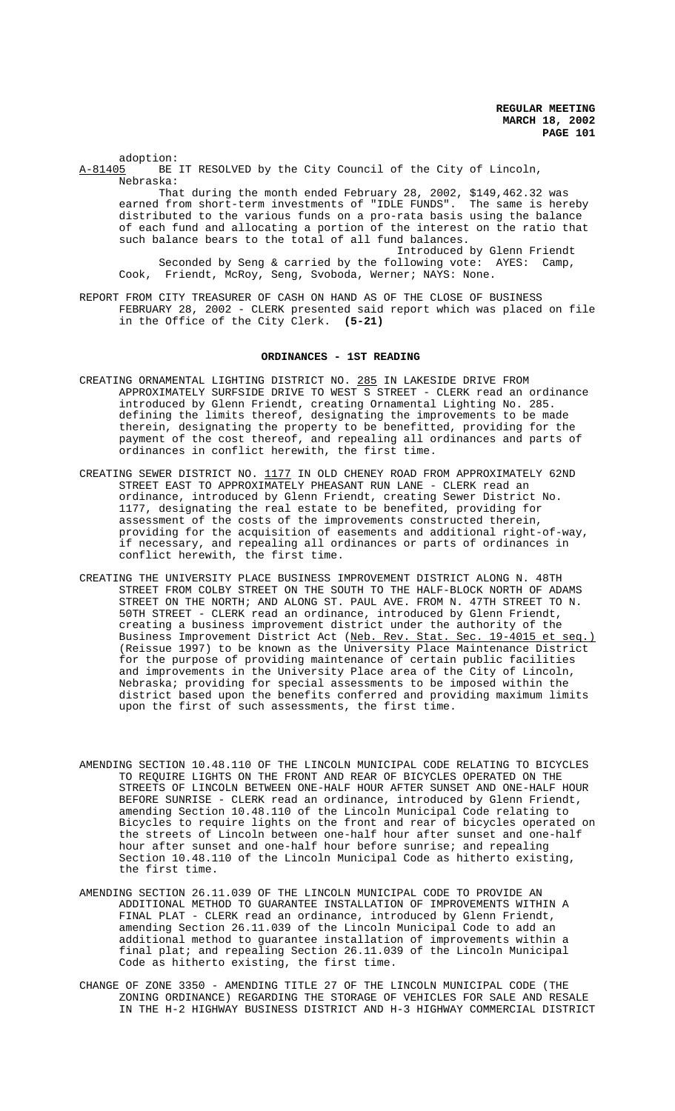adoption:<br>A-81405 BE BE IT RESOLVED by the City Council of the City of Lincoln, Nebraska:

That during the month ended February 28, 2002, \$149,462.32 was earned from short-term investments of "IDLE FUNDS". The same is hereby distributed to the various funds on a pro-rata basis using the balance of each fund and allocating a portion of the interest on the ratio that such balance bears to the total of all fund balances.

Introduced by Glenn Friendt Seconded by Seng & carried by the following vote: AYES: Camp, Cook, Friendt, McRoy, Seng, Svoboda, Werner; NAYS: None.

REPORT FROM CITY TREASURER OF CASH ON HAND AS OF THE CLOSE OF BUSINESS FEBRUARY 28, 2002 - CLERK presented said report which was placed on file in the Office of the City Clerk. **(5-21)**

#### **ORDINANCES - 1ST READING**

- CREATING ORNAMENTAL LIGHTING DISTRICT NO. 285 IN LAKESIDE DRIVE FROM APPROXIMATELY SURFSIDE DRIVE TO WEST S STREET - CLERK read an ordinance introduced by Glenn Friendt, creating Ornamental Lighting No. 285. defining the limits thereof, designating the improvements to be made therein, designating the property to be benefitted, providing for the payment of the cost thereof, and repealing all ordinances and parts of ordinances in conflict herewith, the first time.
- CREATING SEWER DISTRICT NO. 1177 IN OLD CHENEY ROAD FROM APPROXIMATELY 62ND STREET EAST TO APPROXIMATELY PHEASANT RUN LANE - CLERK read an ordinance, introduced by Glenn Friendt, creating Sewer District No. 1177, designating the real estate to be benefited, providing for assessment of the costs of the improvements constructed therein, providing for the acquisition of easements and additional right-of-way, if necessary, and repealing all ordinances or parts of ordinances in conflict herewith, the first time.
- CREATING THE UNIVERSITY PLACE BUSINESS IMPROVEMENT DISTRICT ALONG N. 48TH STREET FROM COLBY STREET ON THE SOUTH TO THE HALF-BLOCK NORTH OF ADAMS STREET ON THE NORTH; AND ALONG ST. PAUL AVE. FROM N. 47TH STREET TO N. 50TH STREET - CLERK read an ordinance, introduced by Glenn Friendt, creating a business improvement district under the authority of the<br>Business Improvement District Act (Neb. Rev. Stat. Sec. 19-4015 et seq.) Business Improvement District Act (Neb. Rev. Stat. Sec. 19-4015 et seq.) (Reissue 1997) to be known as the University Place Maintenance District for the purpose of providing maintenance of certain public facilities and improvements in the University Place area of the City of Lincoln, Nebraska; providing for special assessments to be imposed within the district based upon the benefits conferred and providing maximum limits upon the first of such assessments, the first time.
- AMENDING SECTION 10.48.110 OF THE LINCOLN MUNICIPAL CODE RELATING TO BICYCLES TO REQUIRE LIGHTS ON THE FRONT AND REAR OF BICYCLES OPERATED ON THE STREETS OF LINCOLN BETWEEN ONE-HALF HOUR AFTER SUNSET AND ONE-HALF HOUR BEFORE SUNRISE - CLERK read an ordinance, introduced by Glenn Friendt, amending Section 10.48.110 of the Lincoln Municipal Code relating to Bicycles to require lights on the front and rear of bicycles operated on the streets of Lincoln between one-half hour after sunset and one-half hour after sunset and one-half hour before sunrise; and repealing Section 10.48.110 of the Lincoln Municipal Code as hitherto existing, the first time.
- AMENDING SECTION 26.11.039 OF THE LINCOLN MUNICIPAL CODE TO PROVIDE AN ADDITIONAL METHOD TO GUARANTEE INSTALLATION OF IMPROVEMENTS WITHIN A FINAL PLAT - CLERK read an ordinance, introduced by Glenn Friendt, amending Section 26.11.039 of the Lincoln Municipal Code to add an additional method to guarantee installation of improvements within a final plat; and repealing Section 26.11.039 of the Lincoln Municipal Code as hitherto existing, the first time.
- CHANGE OF ZONE 3350 AMENDING TITLE 27 OF THE LINCOLN MUNICIPAL CODE (THE ZONING ORDINANCE) REGARDING THE STORAGE OF VEHICLES FOR SALE AND RESALE IN THE H-2 HIGHWAY BUSINESS DISTRICT AND H-3 HIGHWAY COMMERCIAL DISTRICT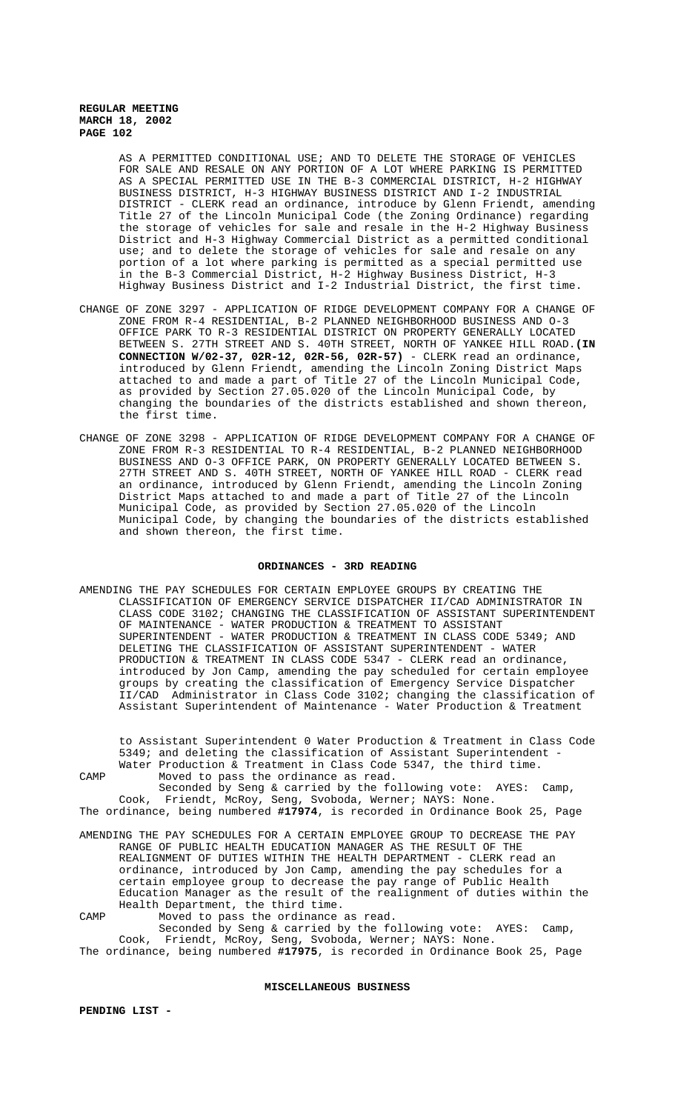> AS A PERMITTED CONDITIONAL USE; AND TO DELETE THE STORAGE OF VEHICLES FOR SALE AND RESALE ON ANY PORTION OF A LOT WHERE PARKING IS PERMITTED AS A SPECIAL PERMITTED USE IN THE B-3 COMMERCIAL DISTRICT, H-2 HIGHWAY BUSINESS DISTRICT, H-3 HIGHWAY BUSINESS DISTRICT AND I-2 INDUSTRIAL DISTRICT - CLERK read an ordinance, introduce by Glenn Friendt, amending Title 27 of the Lincoln Municipal Code (the Zoning Ordinance) regarding the storage of vehicles for sale and resale in the H-2 Highway Business District and H-3 Highway Commercial District as a permitted conditional use; and to delete the storage of vehicles for sale and resale on any portion of a lot where parking is permitted as a special permitted use in the B-3 Commercial District, H-2 Highway Business District, H-3 Highway Business District and I-2 Industrial District, the first time.

- CHANGE OF ZONE 3297 APPLICATION OF RIDGE DEVELOPMENT COMPANY FOR A CHANGE OF ZONE FROM R-4 RESIDENTIAL, B-2 PLANNED NEIGHBORHOOD BUSINESS AND O-3 OFFICE PARK TO R-3 RESIDENTIAL DISTRICT ON PROPERTY GENERALLY LOCATED BETWEEN S. 27TH STREET AND S. 40TH STREET, NORTH OF YANKEE HILL ROAD.**(IN CONNECTION W/02-37, 02R-12, 02R-56, 02R-57)** - CLERK read an ordinance, introduced by Glenn Friendt, amending the Lincoln Zoning District Maps attached to and made a part of Title 27 of the Lincoln Municipal Code, as provided by Section 27.05.020 of the Lincoln Municipal Code, by changing the boundaries of the districts established and shown thereon, the first time.
- CHANGE OF ZONE 3298 APPLICATION OF RIDGE DEVELOPMENT COMPANY FOR A CHANGE OF ZONE FROM R-3 RESIDENTIAL TO R-4 RESIDENTIAL, B-2 PLANNED NEIGHBORHOOD BUSINESS AND O-3 OFFICE PARK, ON PROPERTY GENERALLY LOCATED BETWEEN S. 27TH STREET AND S. 40TH STREET, NORTH OF YANKEE HILL ROAD - CLERK read an ordinance, introduced by Glenn Friendt, amending the Lincoln Zoning District Maps attached to and made a part of Title 27 of the Lincoln Municipal Code, as provided by Section 27.05.020 of the Lincoln Municipal Code, by changing the boundaries of the districts established and shown thereon, the first time.

### **ORDINANCES - 3RD READING**

AMENDING THE PAY SCHEDULES FOR CERTAIN EMPLOYEE GROUPS BY CREATING THE CLASSIFICATION OF EMERGENCY SERVICE DISPATCHER II/CAD ADMINISTRATOR IN CLASS CODE 3102; CHANGING THE CLASSIFICATION OF ASSISTANT SUPERINTENDENT OF MAINTENANCE - WATER PRODUCTION & TREATMENT TO ASSISTANT SUPERINTENDENT - WATER PRODUCTION & TREATMENT IN CLASS CODE 5349; AND DELETING THE CLASSIFICATION OF ASSISTANT SUPERINTENDENT - WATER PRODUCTION & TREATMENT IN CLASS CODE 5347 - CLERK read an ordinance, introduced by Jon Camp, amending the pay scheduled for certain employee groups by creating the classification of Emergency Service Dispatcher II/CAD Administrator in Class Code 3102; changing the classification of Assistant Superintendent of Maintenance - Water Production & Treatment

to Assistant Superintendent 0 Water Production & Treatment in Class Code 5349; and deleting the classification of Assistant Superintendent - Water Production & Treatment in Class Code 5347, the third time. CAMP Moved to pass the ordinance as read.

Seconded by Seng & carried by the following vote: AYES: Camp, Cook, Friendt, McRoy, Seng, Svoboda, Werner; NAYS: None. The ordinance, being numbered **#17974**, is recorded in Ordinance Book 25, Page

- AMENDING THE PAY SCHEDULES FOR A CERTAIN EMPLOYEE GROUP TO DECREASE THE PAY RANGE OF PUBLIC HEALTH EDUCATION MANAGER AS THE RESULT OF THE REALIGNMENT OF DUTIES WITHIN THE HEALTH DEPARTMENT - CLERK read an ordinance, introduced by Jon Camp, amending the pay schedules for a certain employee group to decrease the pay range of Public Health Education Manager as the result of the realignment of duties within the Health Department, the third time.
- CAMP Moved to pass the ordinance as read. Seconded by Seng & carried by the following vote: AYES: Camp, Cook, Friendt, McRoy, Seng, Svoboda, Werner; NAYS: None. The ordinance, being numbered **#17975**, is recorded in Ordinance Book 25, Page

#### **MISCELLANEOUS BUSINESS**

**PENDING LIST -**